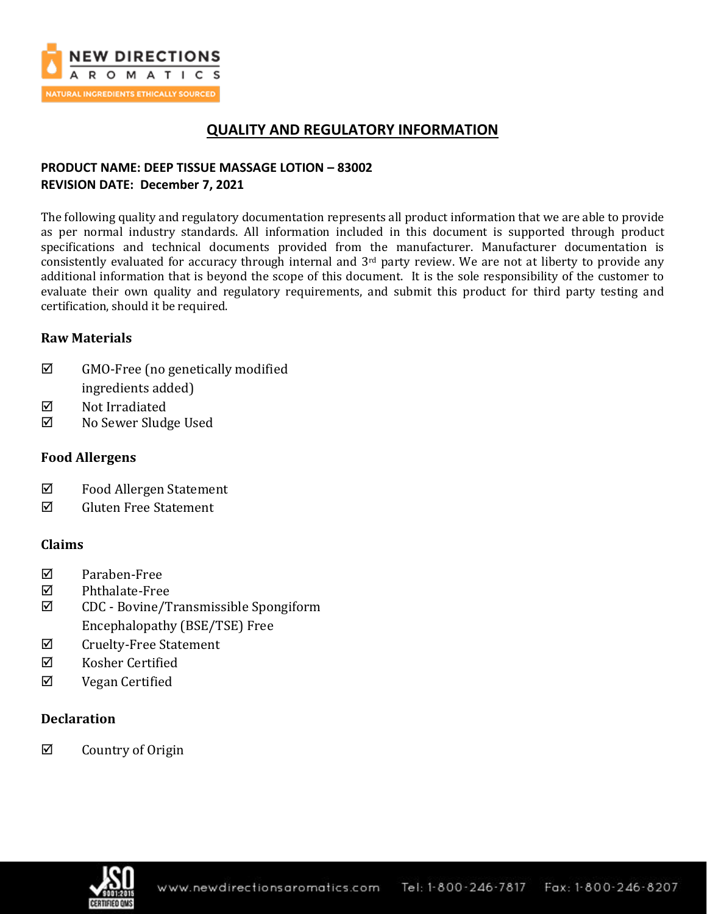

## **QUALITY AND REGULATORY INFORMATION**

## **PRODUCT NAME: DEEP TISSUE MASSAGE LOTION – 83002 REVISION DATE: December 7, 2021**

The following quality and regulatory documentation represents all product information that we are able to provide as per normal industry standards. All information included in this document is supported through product specifications and technical documents provided from the manufacturer. Manufacturer documentation is consistently evaluated for accuracy through internal and 3rd party review. We are not at liberty to provide any additional information that is beyond the scope of this document. It is the sole responsibility of the customer to evaluate their own quality and regulatory requirements, and submit this product for third party testing and certification, should it be required.

## **Raw Materials**

- $\boxtimes$  GMO-Free (no genetically modified ingredients added)
- **Ø** Not Irradiated
- No Sewer Sludge Used

## **Food Allergens**

- Food Allergen Statement
- $\boxtimes$  Gluten Free Statement

## **Claims**

- Paraben-Free
- Phthalate-Free
- CDC Bovine/Transmissible Spongiform Encephalopathy (BSE/TSE) Free
- $\boxtimes$  Cruelty-Free Statement
- $\boxtimes$  Kosher Certified
- Vegan Certified

## **Declaration**

 $\boxtimes$  Country of Origin

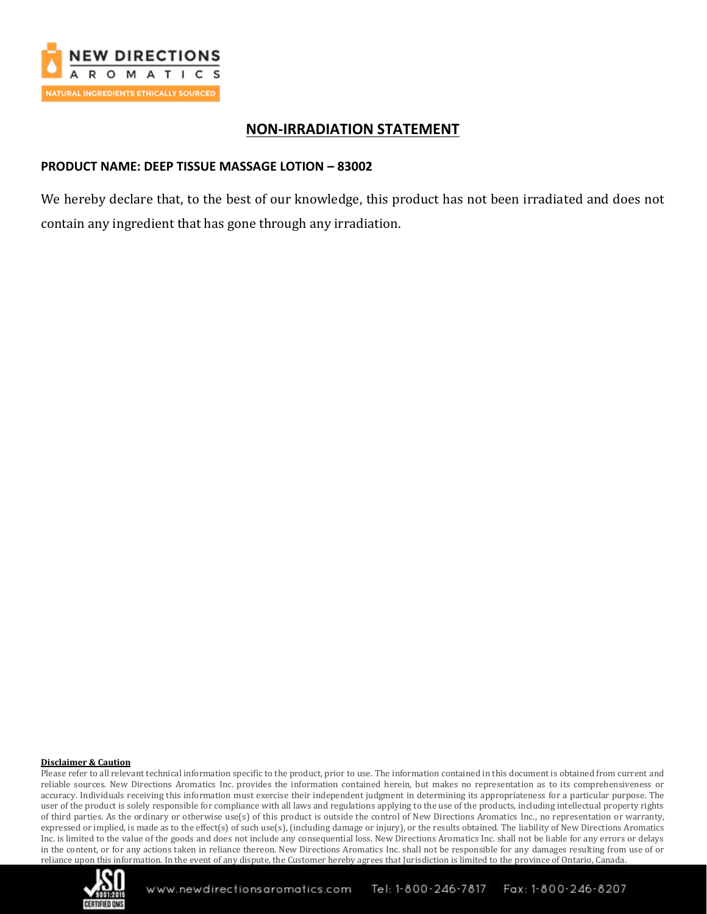

## **NON-IRRADIATION STATEMENT**

## **PRODUCT NAME: DEEP TISSUE MASSAGE LOTION – 83002**

We hereby declare that, to the best of our knowledge, this product has not been irradiated and does not contain any ingredient that has gone through any irradiation.

#### **Disclaimer & Caution**

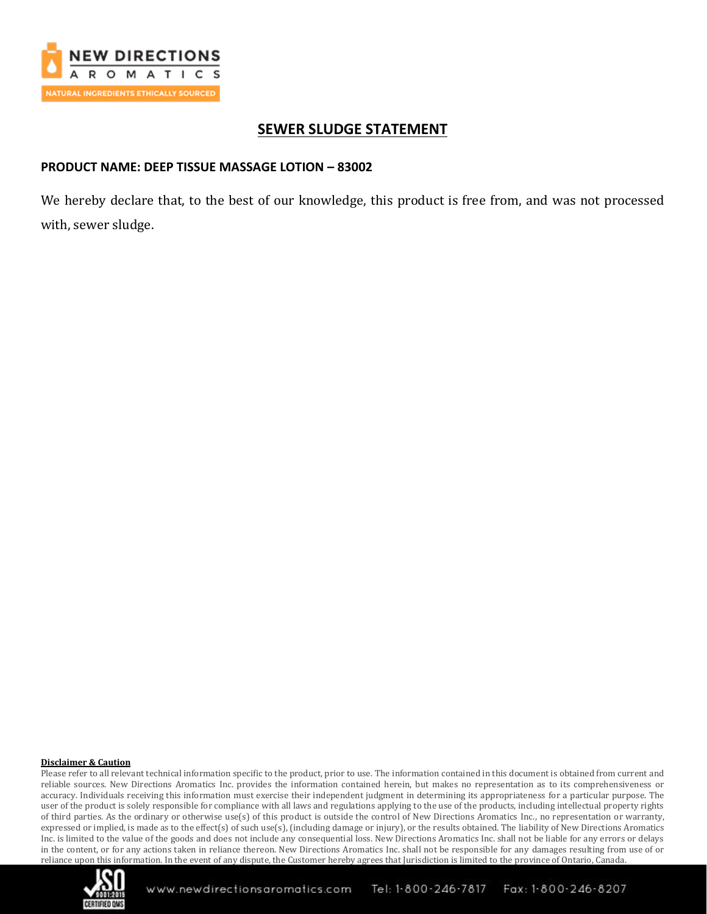

## **SEWER SLUDGE STATEMENT**

### **PRODUCT NAME: DEEP TISSUE MASSAGE LOTION – 83002**

We hereby declare that, to the best of our knowledge, this product is free from, and was not processed with, sewer sludge.

#### **Disclaimer & Caution**

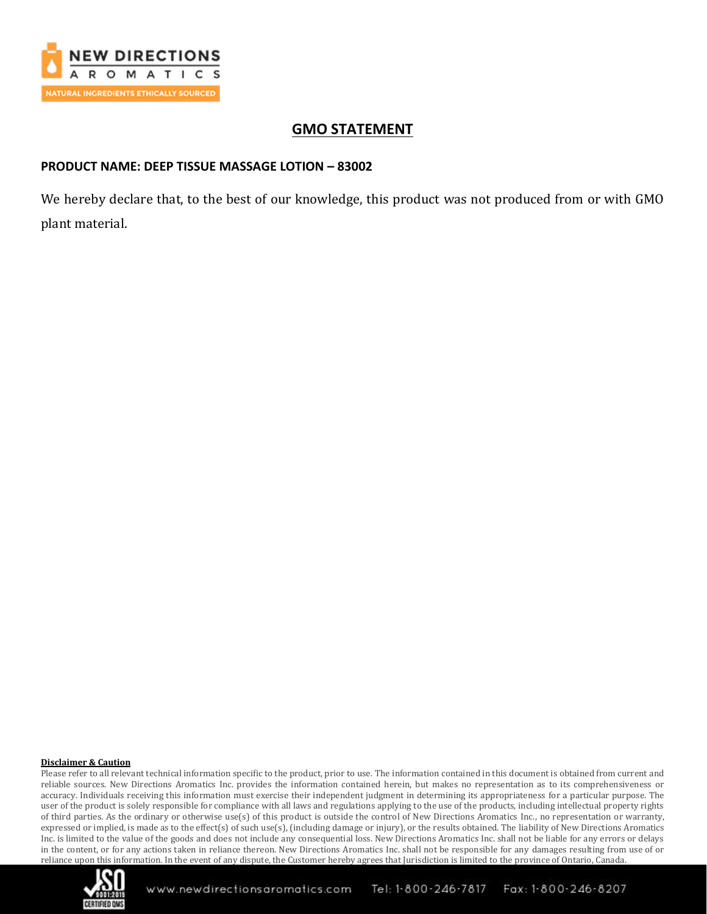

# **GMO STATEMENT**

## **PRODUCT NAME: DEEP TISSUE MASSAGE LOTION – 83002**

We hereby declare that, to the best of our knowledge, this product was not produced from or with GMO plant material.

#### **Disclaimer & Caution**

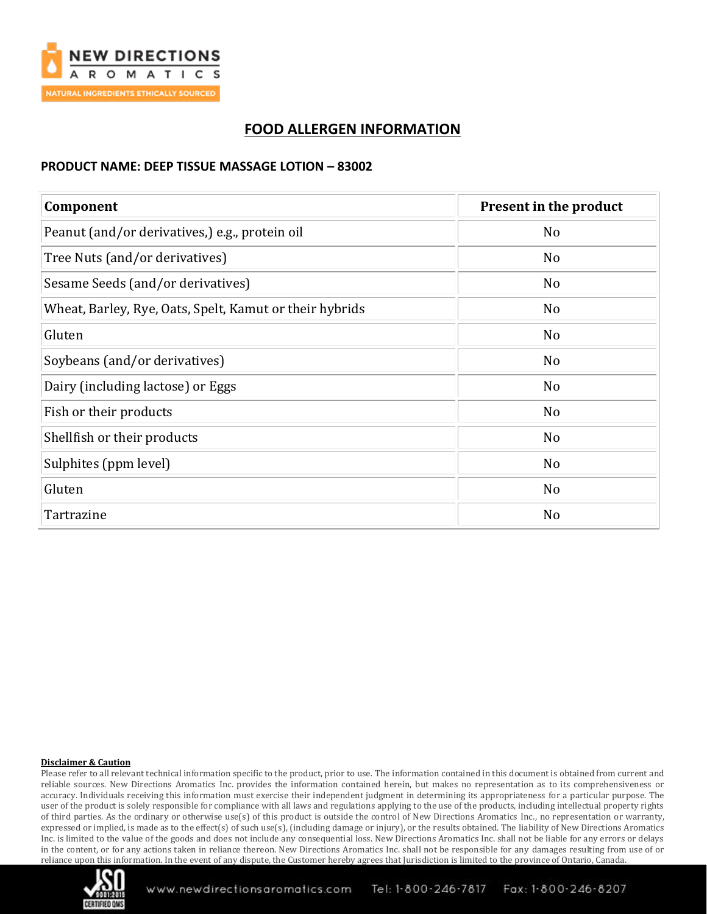

# **FOOD ALLERGEN INFORMATION**

### **PRODUCT NAME: DEEP TISSUE MASSAGE LOTION – 83002**

| Component                                               | Present in the product |
|---------------------------------------------------------|------------------------|
| Peanut (and/or derivatives,) e.g., protein oil          | No                     |
| Tree Nuts (and/or derivatives)                          | No                     |
| Sesame Seeds (and/or derivatives)                       | No                     |
| Wheat, Barley, Rye, Oats, Spelt, Kamut or their hybrids | N <sub>o</sub>         |
| Gluten                                                  | N <sub>o</sub>         |
| Soybeans (and/or derivatives)                           | No                     |
| Dairy (including lactose) or Eggs                       | No                     |
| Fish or their products                                  | No                     |
| Shellfish or their products                             | No                     |
| Sulphites (ppm level)                                   | No                     |
| Gluten                                                  | No                     |
| Tartrazine                                              | N <sub>o</sub>         |

#### **Disclaimer & Caution**

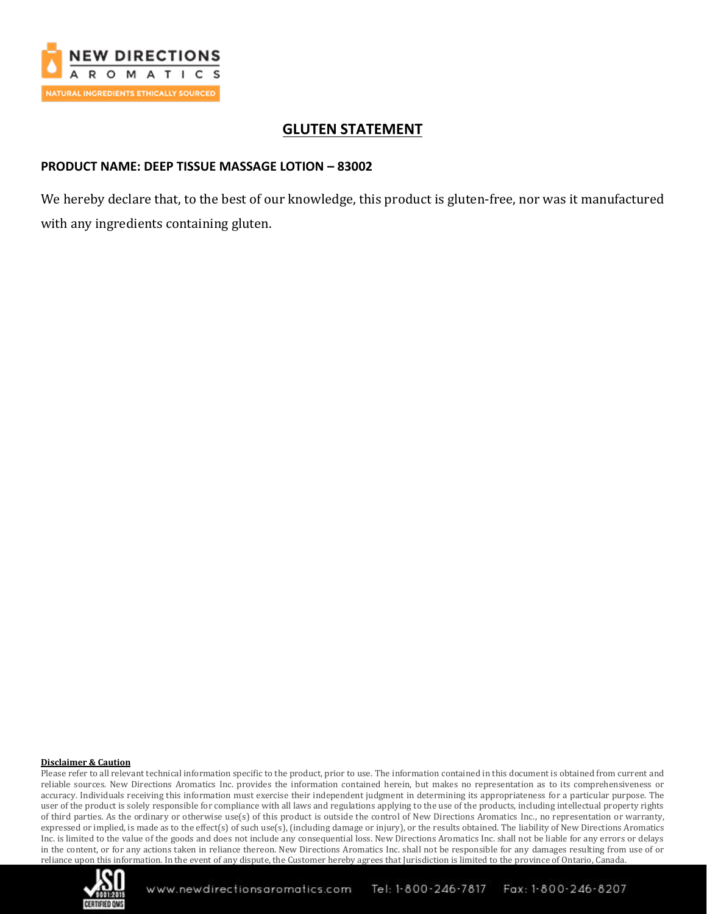

# **GLUTEN STATEMENT**

## **PRODUCT NAME: DEEP TISSUE MASSAGE LOTION – 83002**

We hereby declare that, to the best of our knowledge, this product is gluten-free, nor was it manufactured with any ingredients containing gluten.

#### **Disclaimer & Caution**

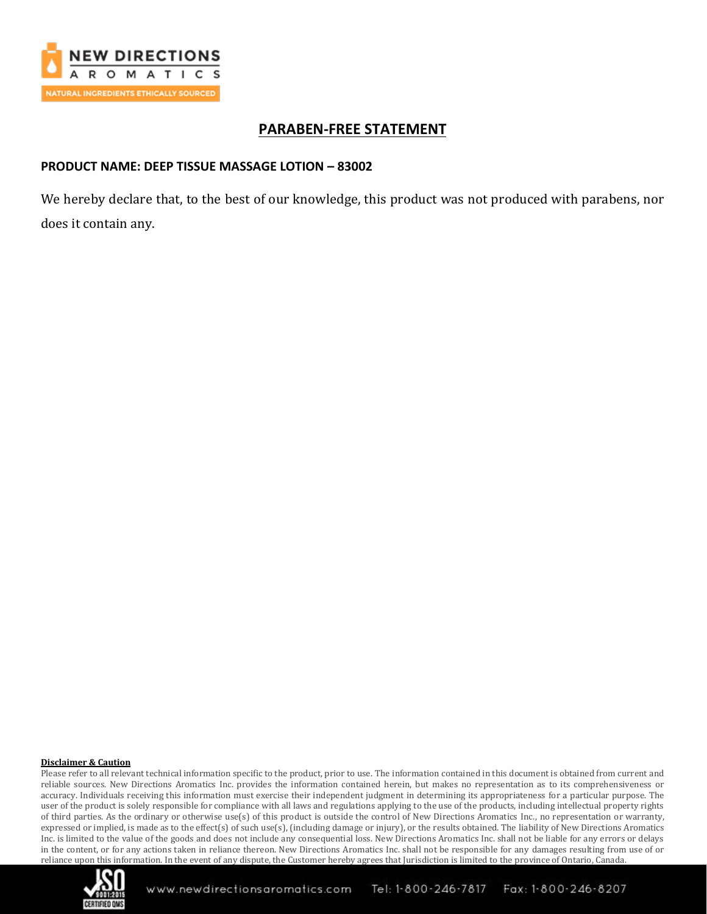

## **PARABEN-FREE STATEMENT**

### **PRODUCT NAME: DEEP TISSUE MASSAGE LOTION – 83002**

We hereby declare that, to the best of our knowledge, this product was not produced with parabens, nor does it contain any.

#### **Disclaimer & Caution**

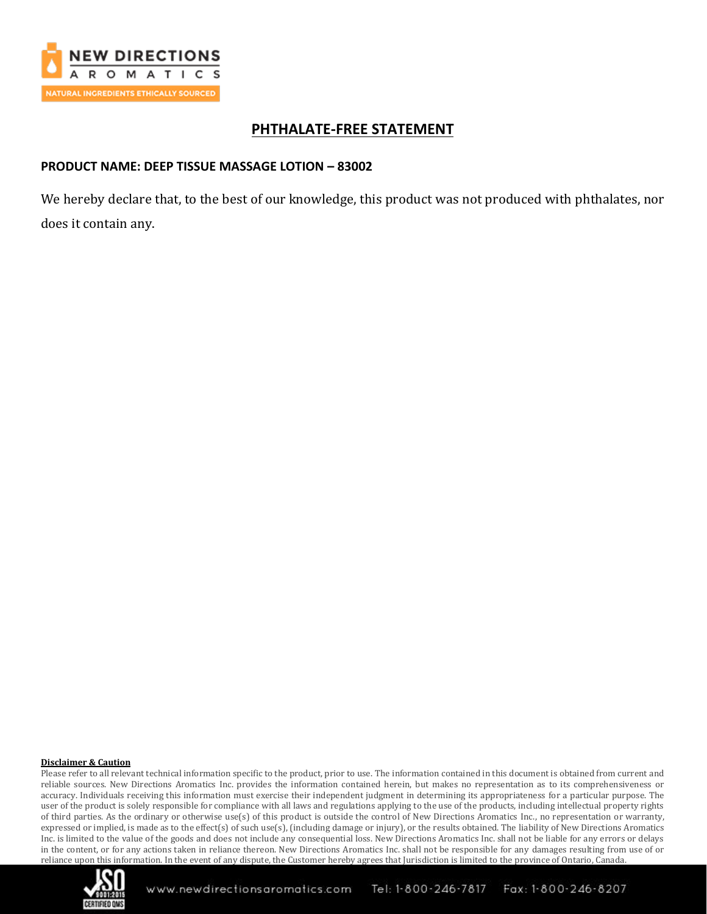

# **PHTHALATE-FREE STATEMENT**

### **PRODUCT NAME: DEEP TISSUE MASSAGE LOTION – 83002**

We hereby declare that, to the best of our knowledge, this product was not produced with phthalates, nor does it contain any.

#### **Disclaimer & Caution**

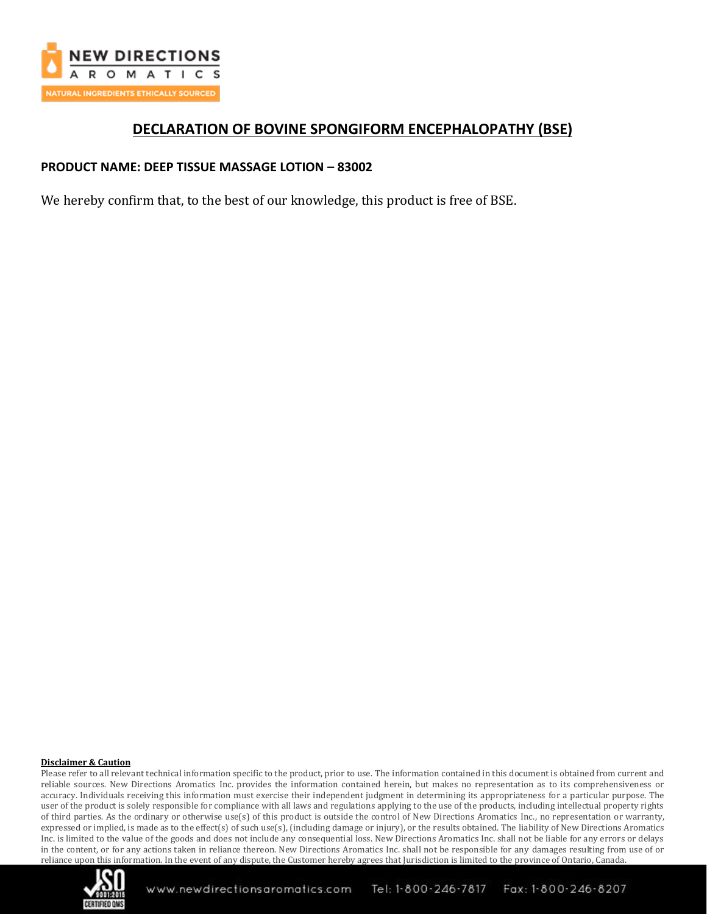

## **DECLARATION OF BOVINE SPONGIFORM ENCEPHALOPATHY (BSE)**

### **PRODUCT NAME: DEEP TISSUE MASSAGE LOTION – 83002**

We hereby confirm that, to the best of our knowledge, this product is free of BSE.

#### **Disclaimer & Caution**

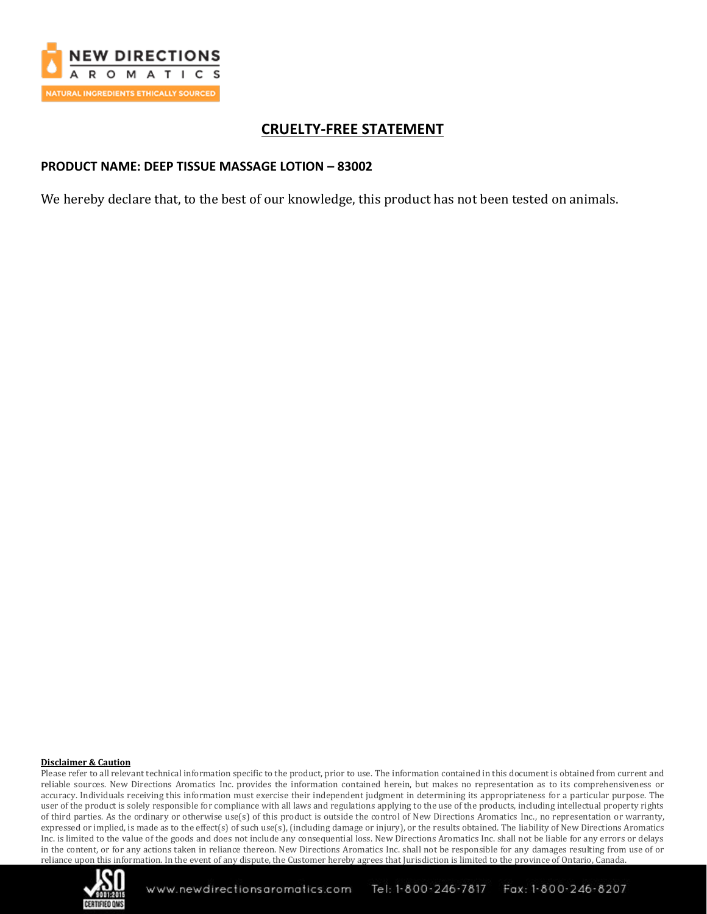

# **CRUELTY-FREE STATEMENT**

### **PRODUCT NAME: DEEP TISSUE MASSAGE LOTION – 83002**

We hereby declare that, to the best of our knowledge, this product has not been tested on animals.

#### **Disclaimer & Caution**

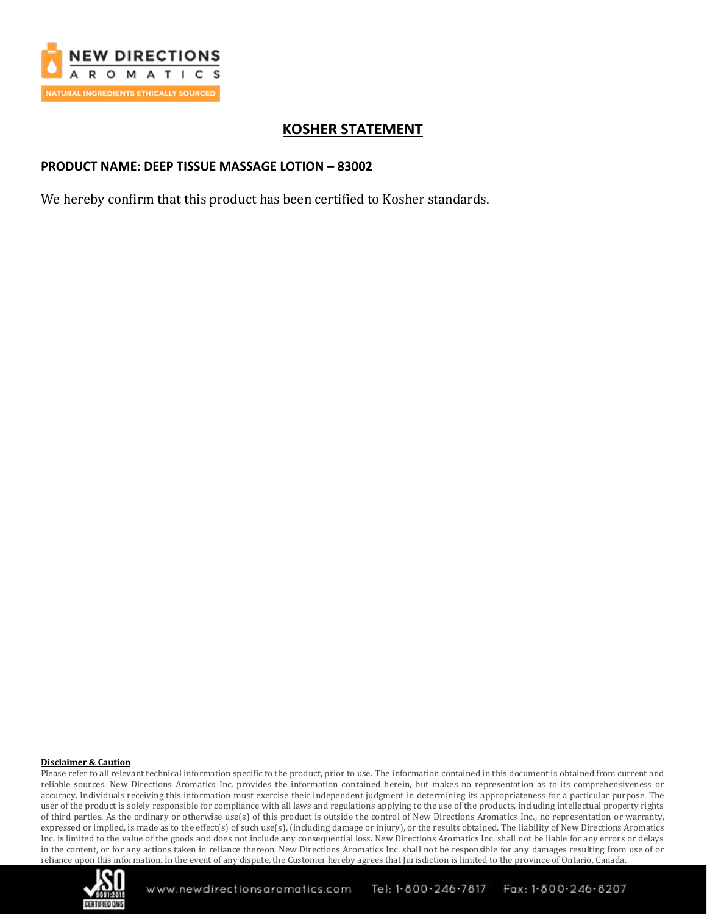

# **KOSHER STATEMENT**

### **PRODUCT NAME: DEEP TISSUE MASSAGE LOTION – 83002**

We hereby confirm that this product has been certified to Kosher standards.

#### **Disclaimer & Caution**

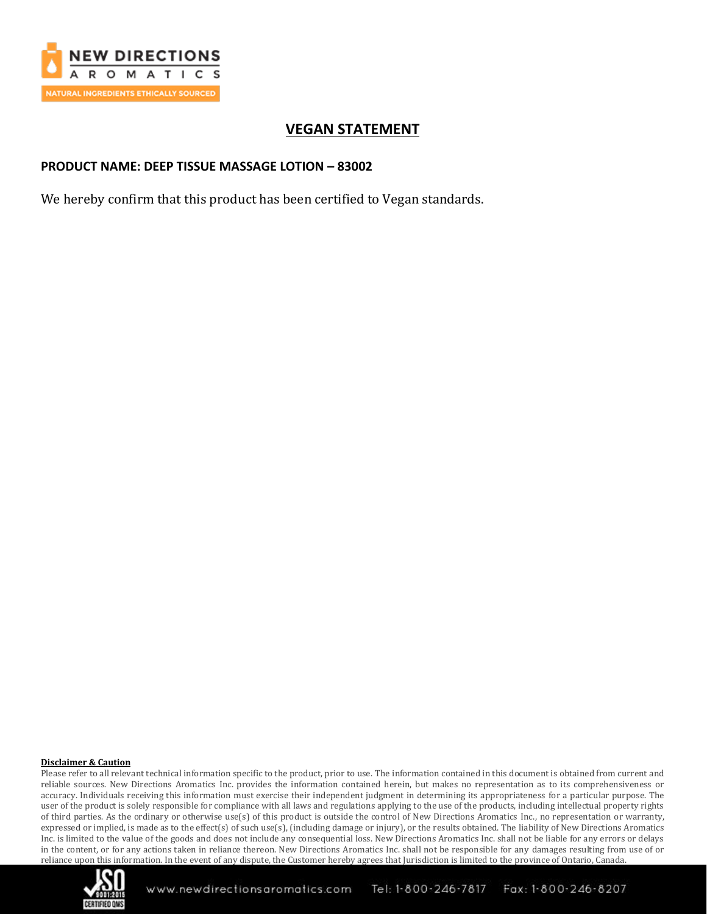

# **VEGAN STATEMENT**

### **PRODUCT NAME: DEEP TISSUE MASSAGE LOTION – 83002**

We hereby confirm that this product has been certified to Vegan standards.

#### **Disclaimer & Caution**